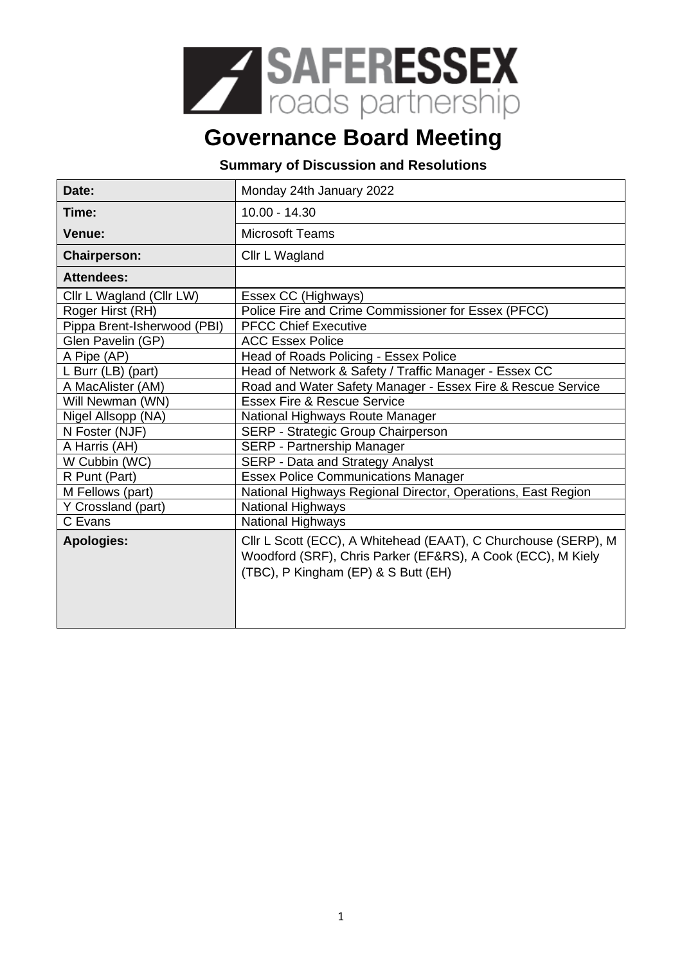

## **Governance Board Meeting**

## **Summary of Discussion and Resolutions**

| Date:                       | Monday 24th January 2022                                                                                                                                             |
|-----------------------------|----------------------------------------------------------------------------------------------------------------------------------------------------------------------|
| Time:                       | $10.00 - 14.30$                                                                                                                                                      |
| Venue:                      | <b>Microsoft Teams</b>                                                                                                                                               |
| <b>Chairperson:</b>         | Cllr L Wagland                                                                                                                                                       |
| <b>Attendees:</b>           |                                                                                                                                                                      |
| Cllr L Wagland (Cllr LW)    | Essex CC (Highways)                                                                                                                                                  |
| Roger Hirst (RH)            | Police Fire and Crime Commissioner for Essex (PFCC)                                                                                                                  |
| Pippa Brent-Isherwood (PBI) | <b>PFCC Chief Executive</b>                                                                                                                                          |
| Glen Pavelin (GP)           | <b>ACC Essex Police</b>                                                                                                                                              |
| A Pipe (AP)                 | Head of Roads Policing - Essex Police                                                                                                                                |
| L Burr $(LB)$ (part)        | Head of Network & Safety / Traffic Manager - Essex CC                                                                                                                |
| A MacAlister (AM)           | Road and Water Safety Manager - Essex Fire & Rescue Service                                                                                                          |
| Will Newman (WN)            | <b>Essex Fire &amp; Rescue Service</b>                                                                                                                               |
| Nigel Allsopp (NA)          | National Highways Route Manager                                                                                                                                      |
| N Foster (NJF)              | SERP - Strategic Group Chairperson                                                                                                                                   |
| A Harris (AH)               | SERP - Partnership Manager                                                                                                                                           |
| W Cubbin (WC)               | <b>SERP - Data and Strategy Analyst</b>                                                                                                                              |
| R Punt (Part)               | <b>Essex Police Communications Manager</b>                                                                                                                           |
| M Fellows (part)            | National Highways Regional Director, Operations, East Region                                                                                                         |
| Y Crossland (part)          | <b>National Highways</b>                                                                                                                                             |
| C Evans                     | <b>National Highways</b>                                                                                                                                             |
| <b>Apologies:</b>           | Cllr L Scott (ECC), A Whitehead (EAAT), C Churchouse (SERP), M<br>Woodford (SRF), Chris Parker (EF&RS), A Cook (ECC), M Kiely<br>(TBC), P Kingham (EP) & S Butt (EH) |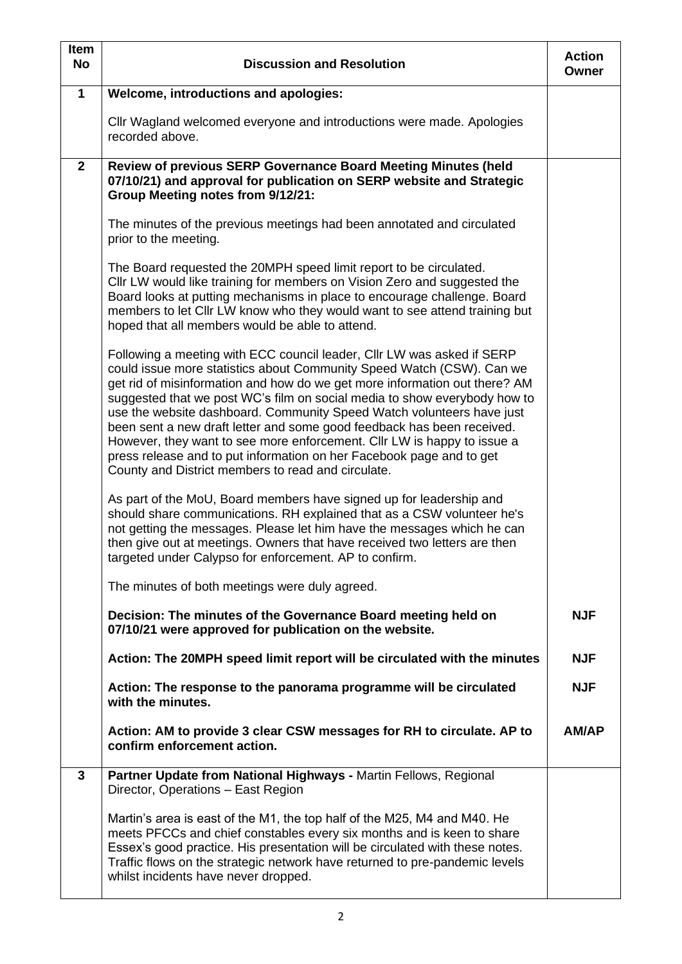| <b>Item</b><br><b>No</b> | <b>Discussion and Resolution</b>                                                                                                                                                                                                                                                                                                                                                                                                                                                                                                                                                                                                                                       | <b>Action</b><br>Owner |
|--------------------------|------------------------------------------------------------------------------------------------------------------------------------------------------------------------------------------------------------------------------------------------------------------------------------------------------------------------------------------------------------------------------------------------------------------------------------------------------------------------------------------------------------------------------------------------------------------------------------------------------------------------------------------------------------------------|------------------------|
| $\mathbf 1$              | <b>Welcome, introductions and apologies:</b>                                                                                                                                                                                                                                                                                                                                                                                                                                                                                                                                                                                                                           |                        |
|                          | Cllr Wagland welcomed everyone and introductions were made. Apologies<br>recorded above.                                                                                                                                                                                                                                                                                                                                                                                                                                                                                                                                                                               |                        |
| $\mathbf{2}$             | Review of previous SERP Governance Board Meeting Minutes (held<br>07/10/21) and approval for publication on SERP website and Strategic<br>Group Meeting notes from 9/12/21:                                                                                                                                                                                                                                                                                                                                                                                                                                                                                            |                        |
|                          | The minutes of the previous meetings had been annotated and circulated<br>prior to the meeting.                                                                                                                                                                                                                                                                                                                                                                                                                                                                                                                                                                        |                        |
|                          | The Board requested the 20MPH speed limit report to be circulated.<br>Cllr LW would like training for members on Vision Zero and suggested the<br>Board looks at putting mechanisms in place to encourage challenge. Board<br>members to let Cllr LW know who they would want to see attend training but<br>hoped that all members would be able to attend.                                                                                                                                                                                                                                                                                                            |                        |
|                          | Following a meeting with ECC council leader, CIIr LW was asked if SERP<br>could issue more statistics about Community Speed Watch (CSW). Can we<br>get rid of misinformation and how do we get more information out there? AM<br>suggested that we post WC's film on social media to show everybody how to<br>use the website dashboard. Community Speed Watch volunteers have just<br>been sent a new draft letter and some good feedback has been received.<br>However, they want to see more enforcement. Cllr LW is happy to issue a<br>press release and to put information on her Facebook page and to get<br>County and District members to read and circulate. |                        |
|                          | As part of the MoU, Board members have signed up for leadership and<br>should share communications. RH explained that as a CSW volunteer he's<br>not getting the messages. Please let him have the messages which he can<br>then give out at meetings. Owners that have received two letters are then<br>targeted under Calypso for enforcement. AP to confirm.                                                                                                                                                                                                                                                                                                        |                        |
|                          | The minutes of both meetings were duly agreed.                                                                                                                                                                                                                                                                                                                                                                                                                                                                                                                                                                                                                         |                        |
|                          | Decision: The minutes of the Governance Board meeting held on<br>07/10/21 were approved for publication on the website.                                                                                                                                                                                                                                                                                                                                                                                                                                                                                                                                                | <b>NJF</b>             |
|                          | Action: The 20MPH speed limit report will be circulated with the minutes                                                                                                                                                                                                                                                                                                                                                                                                                                                                                                                                                                                               | <b>NJF</b>             |
|                          | Action: The response to the panorama programme will be circulated<br>with the minutes.                                                                                                                                                                                                                                                                                                                                                                                                                                                                                                                                                                                 | <b>NJF</b>             |
|                          | Action: AM to provide 3 clear CSW messages for RH to circulate. AP to<br>confirm enforcement action.                                                                                                                                                                                                                                                                                                                                                                                                                                                                                                                                                                   | AM/AP                  |
| 3                        | Partner Update from National Highways - Martin Fellows, Regional<br>Director, Operations - East Region                                                                                                                                                                                                                                                                                                                                                                                                                                                                                                                                                                 |                        |
|                          | Martin's area is east of the M1, the top half of the M25, M4 and M40. He<br>meets PFCCs and chief constables every six months and is keen to share<br>Essex's good practice. His presentation will be circulated with these notes.<br>Traffic flows on the strategic network have returned to pre-pandemic levels<br>whilst incidents have never dropped.                                                                                                                                                                                                                                                                                                              |                        |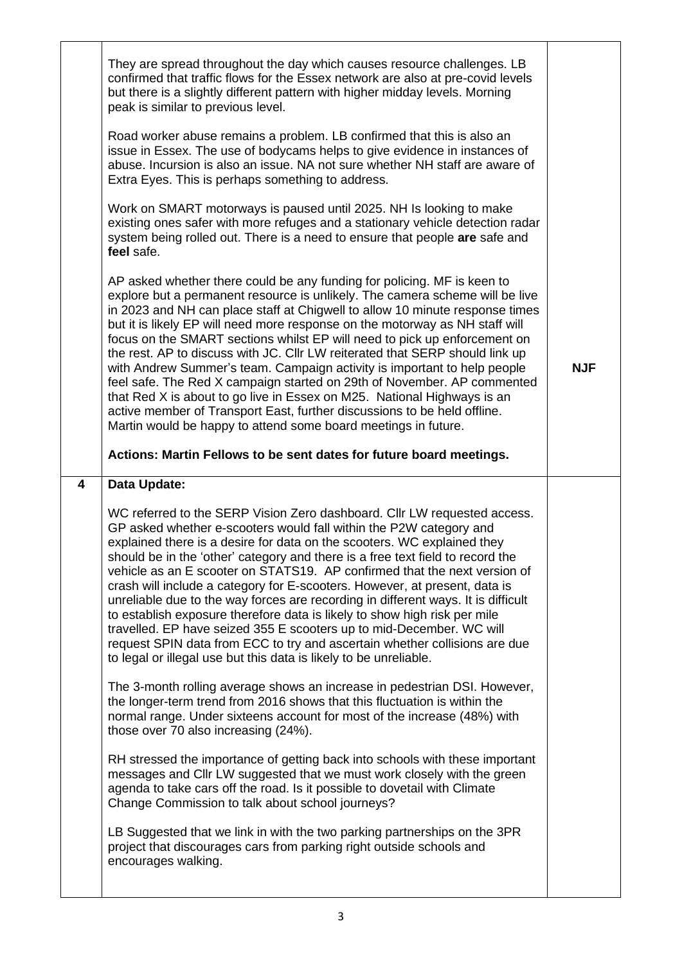|   | They are spread throughout the day which causes resource challenges. LB<br>confirmed that traffic flows for the Essex network are also at pre-covid levels<br>but there is a slightly different pattern with higher midday levels. Morning<br>peak is similar to previous level.<br>Road worker abuse remains a problem. LB confirmed that this is also an<br>issue in Essex. The use of bodycams helps to give evidence in instances of<br>abuse. Incursion is also an issue. NA not sure whether NH staff are aware of<br>Extra Eyes. This is perhaps something to address.<br>Work on SMART motorways is paused until 2025. NH Is looking to make<br>existing ones safer with more refuges and a stationary vehicle detection radar<br>system being rolled out. There is a need to ensure that people are safe and                                                                                                                                     |            |
|---|-----------------------------------------------------------------------------------------------------------------------------------------------------------------------------------------------------------------------------------------------------------------------------------------------------------------------------------------------------------------------------------------------------------------------------------------------------------------------------------------------------------------------------------------------------------------------------------------------------------------------------------------------------------------------------------------------------------------------------------------------------------------------------------------------------------------------------------------------------------------------------------------------------------------------------------------------------------|------------|
|   | feel safe.<br>AP asked whether there could be any funding for policing. MF is keen to<br>explore but a permanent resource is unlikely. The camera scheme will be live<br>in 2023 and NH can place staff at Chigwell to allow 10 minute response times<br>but it is likely EP will need more response on the motorway as NH staff will<br>focus on the SMART sections whilst EP will need to pick up enforcement on<br>the rest. AP to discuss with JC. Cllr LW reiterated that SERP should link up<br>with Andrew Summer's team. Campaign activity is important to help people<br>feel safe. The Red X campaign started on 29th of November. AP commented<br>that Red X is about to go live in Essex on M25. National Highways is an<br>active member of Transport East, further discussions to be held offline.<br>Martin would be happy to attend some board meetings in future.<br>Actions: Martin Fellows to be sent dates for future board meetings. | <b>NJF</b> |
| 4 | Data Update:                                                                                                                                                                                                                                                                                                                                                                                                                                                                                                                                                                                                                                                                                                                                                                                                                                                                                                                                              |            |
|   | WC referred to the SERP Vision Zero dashboard. Cllr LW requested access.<br>GP asked whether e-scooters would fall within the P2W category and<br>explained there is a desire for data on the scooters. WC explained they<br>should be in the 'other' category and there is a free text field to record the<br>vehicle as an E scooter on STATS19. AP confirmed that the next version of<br>crash will include a category for E-scooters. However, at present, data is<br>unreliable due to the way forces are recording in different ways. It is difficult<br>to establish exposure therefore data is likely to show high risk per mile<br>travelled. EP have seized 355 E scooters up to mid-December. WC will<br>request SPIN data from ECC to try and ascertain whether collisions are due<br>to legal or illegal use but this data is likely to be unreliable.                                                                                       |            |
|   |                                                                                                                                                                                                                                                                                                                                                                                                                                                                                                                                                                                                                                                                                                                                                                                                                                                                                                                                                           |            |
|   | The 3-month rolling average shows an increase in pedestrian DSI. However,<br>the longer-term trend from 2016 shows that this fluctuation is within the<br>normal range. Under sixteens account for most of the increase (48%) with<br>those over 70 also increasing (24%).                                                                                                                                                                                                                                                                                                                                                                                                                                                                                                                                                                                                                                                                                |            |
|   | RH stressed the importance of getting back into schools with these important<br>messages and Cllr LW suggested that we must work closely with the green<br>agenda to take cars off the road. Is it possible to dovetail with Climate<br>Change Commission to talk about school journeys?                                                                                                                                                                                                                                                                                                                                                                                                                                                                                                                                                                                                                                                                  |            |
|   |                                                                                                                                                                                                                                                                                                                                                                                                                                                                                                                                                                                                                                                                                                                                                                                                                                                                                                                                                           |            |

 $\overline{\phantom{a}}$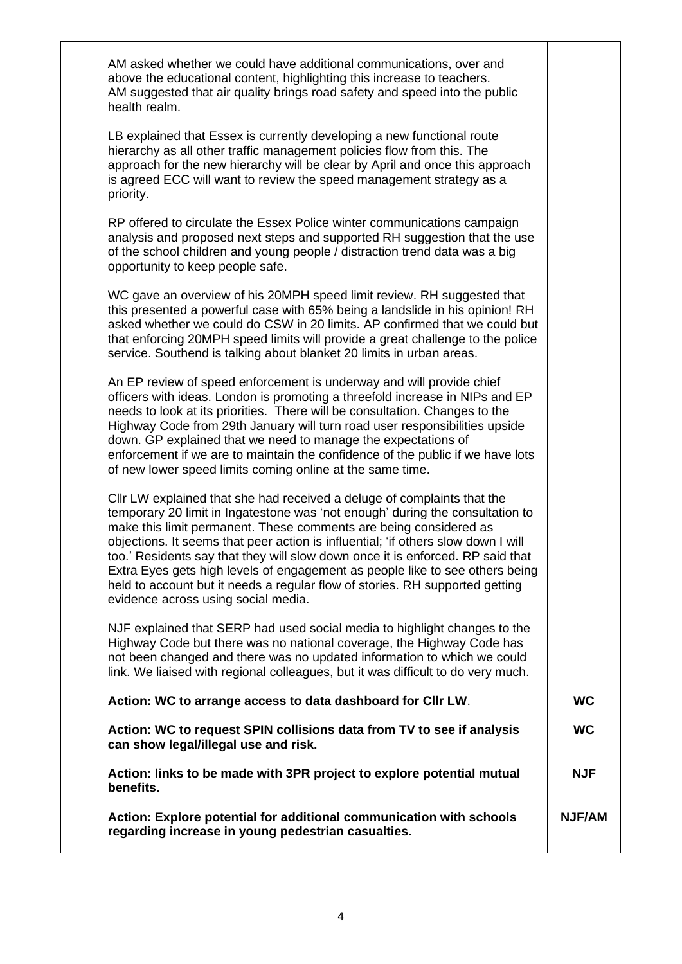| AM asked whether we could have additional communications, over and<br>above the educational content, highlighting this increase to teachers.<br>AM suggested that air quality brings road safety and speed into the public<br>health realm.                                                                                                                                                                                                                                                                                                                                                                 |               |
|-------------------------------------------------------------------------------------------------------------------------------------------------------------------------------------------------------------------------------------------------------------------------------------------------------------------------------------------------------------------------------------------------------------------------------------------------------------------------------------------------------------------------------------------------------------------------------------------------------------|---------------|
| LB explained that Essex is currently developing a new functional route<br>hierarchy as all other traffic management policies flow from this. The<br>approach for the new hierarchy will be clear by April and once this approach<br>is agreed ECC will want to review the speed management strategy as a<br>priority.                                                                                                                                                                                                                                                                                       |               |
| RP offered to circulate the Essex Police winter communications campaign<br>analysis and proposed next steps and supported RH suggestion that the use<br>of the school children and young people / distraction trend data was a big<br>opportunity to keep people safe.                                                                                                                                                                                                                                                                                                                                      |               |
| WC gave an overview of his 20MPH speed limit review. RH suggested that<br>this presented a powerful case with 65% being a landslide in his opinion! RH<br>asked whether we could do CSW in 20 limits. AP confirmed that we could but<br>that enforcing 20MPH speed limits will provide a great challenge to the police<br>service. Southend is talking about blanket 20 limits in urban areas.                                                                                                                                                                                                              |               |
| An EP review of speed enforcement is underway and will provide chief<br>officers with ideas. London is promoting a threefold increase in NIPs and EP<br>needs to look at its priorities. There will be consultation. Changes to the<br>Highway Code from 29th January will turn road user responsibilities upside<br>down. GP explained that we need to manage the expectations of<br>enforcement if we are to maintain the confidence of the public if we have lots<br>of new lower speed limits coming online at the same time.                                                                           |               |
| Cllr LW explained that she had received a deluge of complaints that the<br>temporary 20 limit in Ingatestone was 'not enough' during the consultation to<br>make this limit permanent. These comments are being considered as<br>objections. It seems that peer action is influential; 'if others slow down I will<br>too.' Residents say that they will slow down once it is enforced. RP said that<br>Extra Eyes gets high levels of engagement as people like to see others being<br>held to account but it needs a regular flow of stories. RH supported getting<br>evidence across using social media. |               |
| NJF explained that SERP had used social media to highlight changes to the<br>Highway Code but there was no national coverage, the Highway Code has<br>not been changed and there was no updated information to which we could<br>link. We liaised with regional colleagues, but it was difficult to do very much.                                                                                                                                                                                                                                                                                           |               |
| Action: WC to arrange access to data dashboard for CIIr LW.                                                                                                                                                                                                                                                                                                                                                                                                                                                                                                                                                 | <b>WC</b>     |
| Action: WC to request SPIN collisions data from TV to see if analysis<br>can show legal/illegal use and risk.                                                                                                                                                                                                                                                                                                                                                                                                                                                                                               | <b>WC</b>     |
| Action: links to be made with 3PR project to explore potential mutual<br>benefits.                                                                                                                                                                                                                                                                                                                                                                                                                                                                                                                          | <b>NJF</b>    |
| Action: Explore potential for additional communication with schools<br>regarding increase in young pedestrian casualties.                                                                                                                                                                                                                                                                                                                                                                                                                                                                                   | <b>NJF/AM</b> |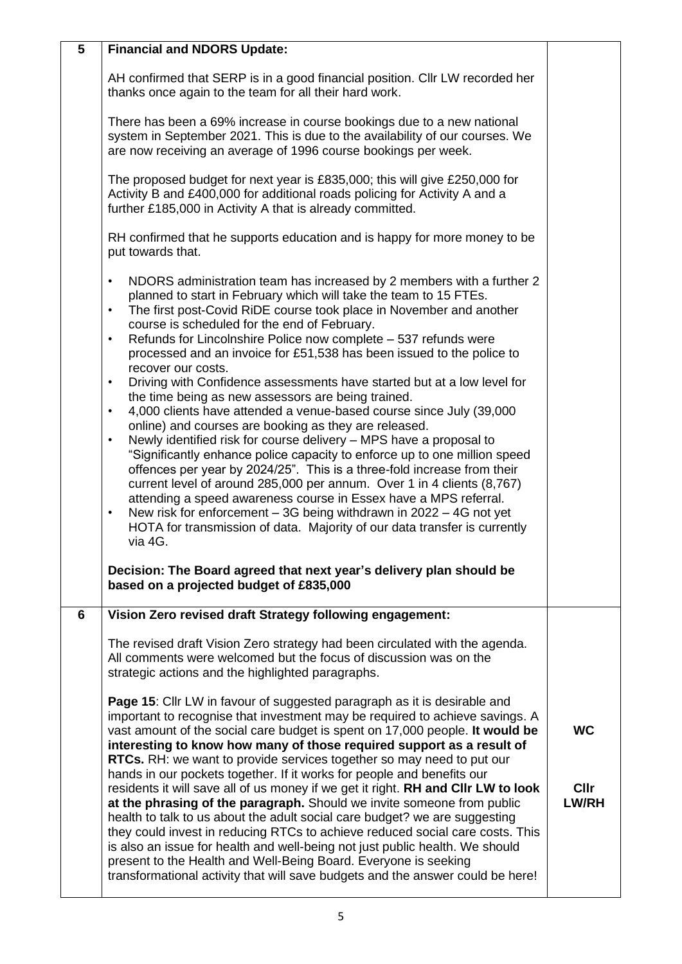| 5 | <b>Financial and NDORS Update:</b>                                                                                                                                                                                                                                                                                                                                                                                                                                                                                                                                                                                                                                                                                                                                                                                                                                                                                                                                                                                                                                                                                                                                                                                                                                                                                                                                                                               |                                   |
|---|------------------------------------------------------------------------------------------------------------------------------------------------------------------------------------------------------------------------------------------------------------------------------------------------------------------------------------------------------------------------------------------------------------------------------------------------------------------------------------------------------------------------------------------------------------------------------------------------------------------------------------------------------------------------------------------------------------------------------------------------------------------------------------------------------------------------------------------------------------------------------------------------------------------------------------------------------------------------------------------------------------------------------------------------------------------------------------------------------------------------------------------------------------------------------------------------------------------------------------------------------------------------------------------------------------------------------------------------------------------------------------------------------------------|-----------------------------------|
|   | AH confirmed that SERP is in a good financial position. Cllr LW recorded her<br>thanks once again to the team for all their hard work.                                                                                                                                                                                                                                                                                                                                                                                                                                                                                                                                                                                                                                                                                                                                                                                                                                                                                                                                                                                                                                                                                                                                                                                                                                                                           |                                   |
|   | There has been a 69% increase in course bookings due to a new national<br>system in September 2021. This is due to the availability of our courses. We<br>are now receiving an average of 1996 course bookings per week.                                                                                                                                                                                                                                                                                                                                                                                                                                                                                                                                                                                                                                                                                                                                                                                                                                                                                                                                                                                                                                                                                                                                                                                         |                                   |
|   | The proposed budget for next year is £835,000; this will give £250,000 for<br>Activity B and £400,000 for additional roads policing for Activity A and a<br>further £185,000 in Activity A that is already committed.                                                                                                                                                                                                                                                                                                                                                                                                                                                                                                                                                                                                                                                                                                                                                                                                                                                                                                                                                                                                                                                                                                                                                                                            |                                   |
|   | RH confirmed that he supports education and is happy for more money to be<br>put towards that.                                                                                                                                                                                                                                                                                                                                                                                                                                                                                                                                                                                                                                                                                                                                                                                                                                                                                                                                                                                                                                                                                                                                                                                                                                                                                                                   |                                   |
|   | NDORS administration team has increased by 2 members with a further 2<br>$\bullet$<br>planned to start in February which will take the team to 15 FTEs.<br>The first post-Covid RiDE course took place in November and another<br>$\bullet$<br>course is scheduled for the end of February.<br>Refunds for Lincolnshire Police now complete – 537 refunds were<br>$\bullet$<br>processed and an invoice for £51,538 has been issued to the police to<br>recover our costs.<br>Driving with Confidence assessments have started but at a low level for<br>$\bullet$<br>the time being as new assessors are being trained.<br>4,000 clients have attended a venue-based course since July (39,000<br>$\bullet$<br>online) and courses are booking as they are released.<br>Newly identified risk for course delivery - MPS have a proposal to<br>$\bullet$<br>"Significantly enhance police capacity to enforce up to one million speed<br>offences per year by 2024/25". This is a three-fold increase from their<br>current level of around 285,000 per annum. Over 1 in 4 clients (8,767)<br>attending a speed awareness course in Essex have a MPS referral.<br>New risk for enforcement – 3G being withdrawn in 2022 – 4G not yet<br>$\bullet$<br>HOTA for transmission of data. Majority of our data transfer is currently<br>via 4G.<br>Decision: The Board agreed that next year's delivery plan should be |                                   |
|   | based on a projected budget of £835,000                                                                                                                                                                                                                                                                                                                                                                                                                                                                                                                                                                                                                                                                                                                                                                                                                                                                                                                                                                                                                                                                                                                                                                                                                                                                                                                                                                          |                                   |
| 6 | Vision Zero revised draft Strategy following engagement:                                                                                                                                                                                                                                                                                                                                                                                                                                                                                                                                                                                                                                                                                                                                                                                                                                                                                                                                                                                                                                                                                                                                                                                                                                                                                                                                                         |                                   |
|   | The revised draft Vision Zero strategy had been circulated with the agenda.<br>All comments were welcomed but the focus of discussion was on the<br>strategic actions and the highlighted paragraphs.                                                                                                                                                                                                                                                                                                                                                                                                                                                                                                                                                                                                                                                                                                                                                                                                                                                                                                                                                                                                                                                                                                                                                                                                            |                                   |
|   | Page 15: Cllr LW in favour of suggested paragraph as it is desirable and<br>important to recognise that investment may be required to achieve savings. A<br>vast amount of the social care budget is spent on 17,000 people. It would be<br>interesting to know how many of those required support as a result of<br>RTCs. RH: we want to provide services together so may need to put our<br>hands in our pockets together. If it works for people and benefits our<br>residents it will save all of us money if we get it right. RH and CIIr LW to look<br>at the phrasing of the paragraph. Should we invite someone from public<br>health to talk to us about the adult social care budget? we are suggesting<br>they could invest in reducing RTCs to achieve reduced social care costs. This<br>is also an issue for health and well-being not just public health. We should<br>present to the Health and Well-Being Board. Everyone is seeking<br>transformational activity that will save budgets and the answer could be here!                                                                                                                                                                                                                                                                                                                                                                          | <b>WC</b><br>Cllr<br><b>LW/RH</b> |
|   |                                                                                                                                                                                                                                                                                                                                                                                                                                                                                                                                                                                                                                                                                                                                                                                                                                                                                                                                                                                                                                                                                                                                                                                                                                                                                                                                                                                                                  |                                   |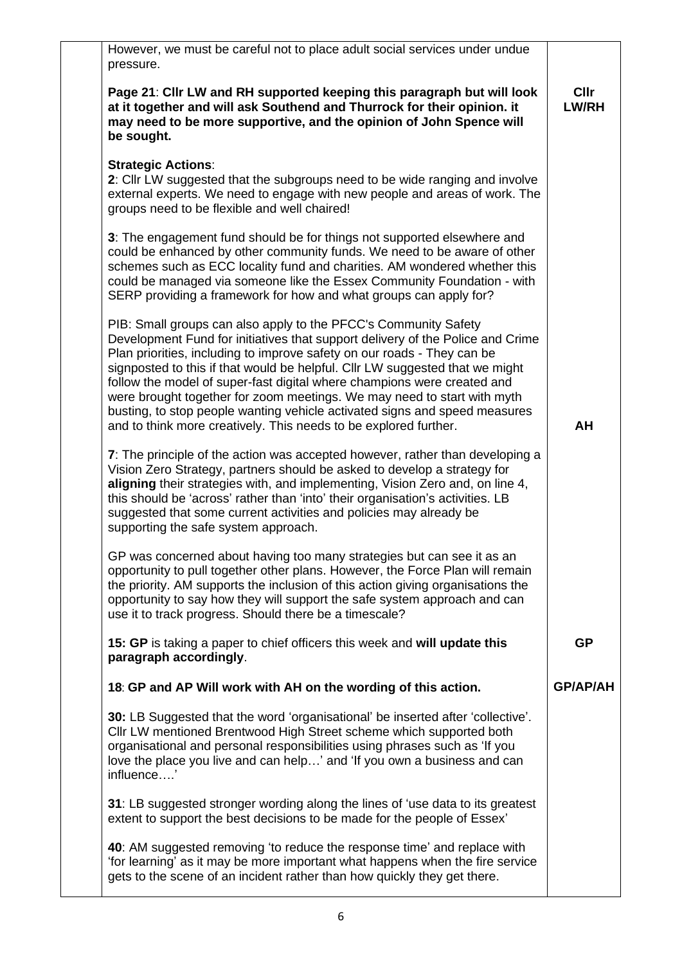| However, we must be careful not to place adult social services under undue<br>pressure.                                                                                                                                                                                                                                                                                                                                                                                                                                                                                                                              |                             |
|----------------------------------------------------------------------------------------------------------------------------------------------------------------------------------------------------------------------------------------------------------------------------------------------------------------------------------------------------------------------------------------------------------------------------------------------------------------------------------------------------------------------------------------------------------------------------------------------------------------------|-----------------------------|
| Page 21: Cllr LW and RH supported keeping this paragraph but will look<br>at it together and will ask Southend and Thurrock for their opinion. it<br>may need to be more supportive, and the opinion of John Spence will<br>be sought.                                                                                                                                                                                                                                                                                                                                                                               | <b>CIIr</b><br><b>LW/RH</b> |
| <b>Strategic Actions:</b><br>2: Cllr LW suggested that the subgroups need to be wide ranging and involve<br>external experts. We need to engage with new people and areas of work. The<br>groups need to be flexible and well chaired!                                                                                                                                                                                                                                                                                                                                                                               |                             |
| 3: The engagement fund should be for things not supported elsewhere and<br>could be enhanced by other community funds. We need to be aware of other<br>schemes such as ECC locality fund and charities. AM wondered whether this<br>could be managed via someone like the Essex Community Foundation - with<br>SERP providing a framework for how and what groups can apply for?                                                                                                                                                                                                                                     |                             |
| PIB: Small groups can also apply to the PFCC's Community Safety<br>Development Fund for initiatives that support delivery of the Police and Crime<br>Plan priorities, including to improve safety on our roads - They can be<br>signposted to this if that would be helpful. Cllr LW suggested that we might<br>follow the model of super-fast digital where champions were created and<br>were brought together for zoom meetings. We may need to start with myth<br>busting, to stop people wanting vehicle activated signs and speed measures<br>and to think more creatively. This needs to be explored further. | AH                          |
| 7: The principle of the action was accepted however, rather than developing a<br>Vision Zero Strategy, partners should be asked to develop a strategy for<br>aligning their strategies with, and implementing, Vision Zero and, on line 4,<br>this should be 'across' rather than 'into' their organisation's activities. LB<br>suggested that some current activities and policies may already be<br>supporting the safe system approach.                                                                                                                                                                           |                             |
| GP was concerned about having too many strategies but can see it as an<br>opportunity to pull together other plans. However, the Force Plan will remain<br>the priority. AM supports the inclusion of this action giving organisations the<br>opportunity to say how they will support the safe system approach and can<br>use it to track progress. Should there be a timescale?                                                                                                                                                                                                                                    |                             |
| 15: GP is taking a paper to chief officers this week and will update this<br>paragraph accordingly.                                                                                                                                                                                                                                                                                                                                                                                                                                                                                                                  | <b>GP</b>                   |
| 18: GP and AP Will work with AH on the wording of this action.                                                                                                                                                                                                                                                                                                                                                                                                                                                                                                                                                       | <b>GP/AP/AH</b>             |
| 30: LB Suggested that the word 'organisational' be inserted after 'collective'.<br>Cllr LW mentioned Brentwood High Street scheme which supported both<br>organisational and personal responsibilities using phrases such as 'If you<br>love the place you live and can help' and 'If you own a business and can<br>influence'                                                                                                                                                                                                                                                                                       |                             |
| 31: LB suggested stronger wording along the lines of 'use data to its greatest<br>extent to support the best decisions to be made for the people of Essex'                                                                                                                                                                                                                                                                                                                                                                                                                                                           |                             |
| 40: AM suggested removing 'to reduce the response time' and replace with<br>'for learning' as it may be more important what happens when the fire service<br>gets to the scene of an incident rather than how quickly they get there.                                                                                                                                                                                                                                                                                                                                                                                |                             |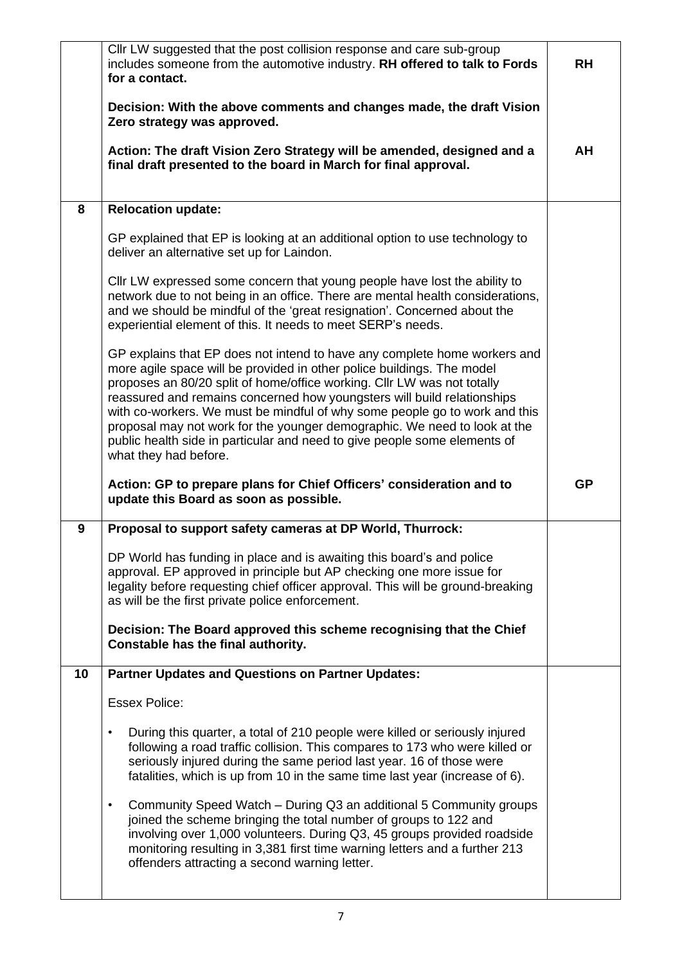|    | CIIr LW suggested that the post collision response and care sub-group<br>includes someone from the automotive industry. RH offered to talk to Fords<br>for a contact.                                                                                                                                                                                                                                                                                                                                                                                                      | <b>RH</b> |
|----|----------------------------------------------------------------------------------------------------------------------------------------------------------------------------------------------------------------------------------------------------------------------------------------------------------------------------------------------------------------------------------------------------------------------------------------------------------------------------------------------------------------------------------------------------------------------------|-----------|
|    | Decision: With the above comments and changes made, the draft Vision<br>Zero strategy was approved.                                                                                                                                                                                                                                                                                                                                                                                                                                                                        |           |
|    | Action: The draft Vision Zero Strategy will be amended, designed and a<br>final draft presented to the board in March for final approval.                                                                                                                                                                                                                                                                                                                                                                                                                                  | AH        |
| 8  | <b>Relocation update:</b>                                                                                                                                                                                                                                                                                                                                                                                                                                                                                                                                                  |           |
|    | GP explained that EP is looking at an additional option to use technology to<br>deliver an alternative set up for Laindon.                                                                                                                                                                                                                                                                                                                                                                                                                                                 |           |
|    | Cllr LW expressed some concern that young people have lost the ability to<br>network due to not being in an office. There are mental health considerations,<br>and we should be mindful of the 'great resignation'. Concerned about the<br>experiential element of this. It needs to meet SERP's needs.                                                                                                                                                                                                                                                                    |           |
|    | GP explains that EP does not intend to have any complete home workers and<br>more agile space will be provided in other police buildings. The model<br>proposes an 80/20 split of home/office working. Cllr LW was not totally<br>reassured and remains concerned how youngsters will build relationships<br>with co-workers. We must be mindful of why some people go to work and this<br>proposal may not work for the younger demographic. We need to look at the<br>public health side in particular and need to give people some elements of<br>what they had before. |           |
|    |                                                                                                                                                                                                                                                                                                                                                                                                                                                                                                                                                                            |           |
|    | Action: GP to prepare plans for Chief Officers' consideration and to<br>update this Board as soon as possible.                                                                                                                                                                                                                                                                                                                                                                                                                                                             | <b>GP</b> |
| 9  | Proposal to support safety cameras at DP World, Thurrock:                                                                                                                                                                                                                                                                                                                                                                                                                                                                                                                  |           |
|    | DP World has funding in place and is awaiting this board's and police<br>approval. EP approved in principle but AP checking one more issue for<br>legality before requesting chief officer approval. This will be ground-breaking<br>as will be the first private police enforcement.                                                                                                                                                                                                                                                                                      |           |
|    | Decision: The Board approved this scheme recognising that the Chief<br>Constable has the final authority.                                                                                                                                                                                                                                                                                                                                                                                                                                                                  |           |
| 10 | <b>Partner Updates and Questions on Partner Updates:</b>                                                                                                                                                                                                                                                                                                                                                                                                                                                                                                                   |           |
|    | <b>Essex Police:</b>                                                                                                                                                                                                                                                                                                                                                                                                                                                                                                                                                       |           |
|    | During this quarter, a total of 210 people were killed or seriously injured<br>$\bullet$<br>following a road traffic collision. This compares to 173 who were killed or<br>seriously injured during the same period last year. 16 of those were<br>fatalities, which is up from 10 in the same time last year (increase of 6).                                                                                                                                                                                                                                             |           |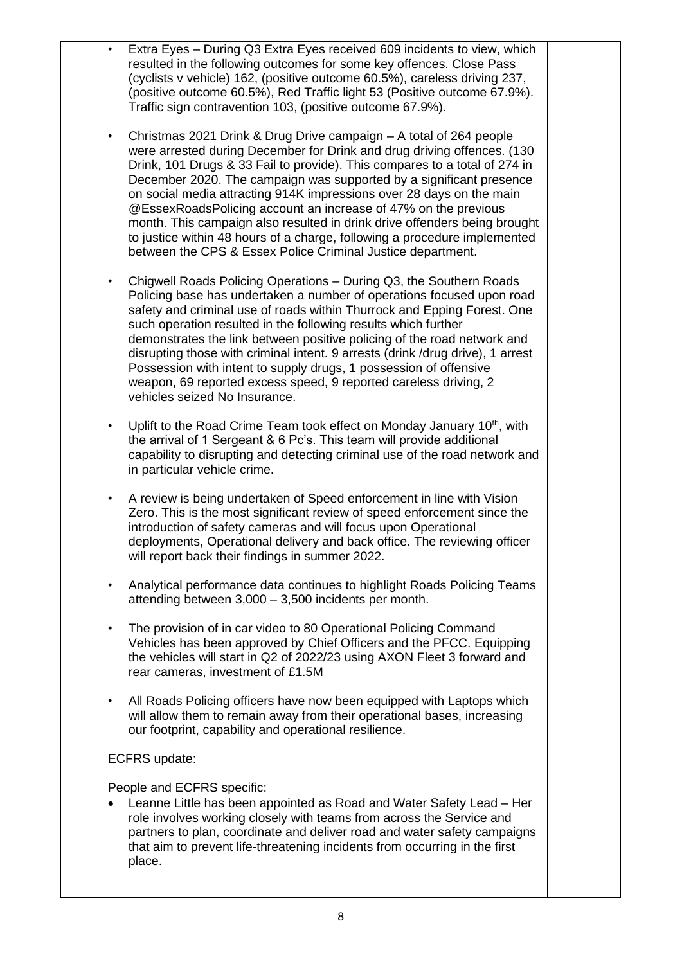| $\bullet$ | Extra Eyes - During Q3 Extra Eyes received 609 incidents to view, which<br>resulted in the following outcomes for some key offences. Close Pass<br>(cyclists v vehicle) 162, (positive outcome 60.5%), careless driving 237,<br>(positive outcome 60.5%), Red Traffic light 53 (Positive outcome 67.9%).<br>Traffic sign contravention 103, (positive outcome 67.9%).                                                                                                                                                                                                                                                                                                 |
|-----------|-----------------------------------------------------------------------------------------------------------------------------------------------------------------------------------------------------------------------------------------------------------------------------------------------------------------------------------------------------------------------------------------------------------------------------------------------------------------------------------------------------------------------------------------------------------------------------------------------------------------------------------------------------------------------|
| $\bullet$ | Christmas 2021 Drink & Drug Drive campaign - A total of 264 people<br>were arrested during December for Drink and drug driving offences. (130<br>Drink, 101 Drugs & 33 Fail to provide). This compares to a total of 274 in<br>December 2020. The campaign was supported by a significant presence<br>on social media attracting 914K impressions over 28 days on the main<br>@EssexRoadsPolicing account an increase of 47% on the previous<br>month. This campaign also resulted in drink drive offenders being brought<br>to justice within 48 hours of a charge, following a procedure implemented<br>between the CPS & Essex Police Criminal Justice department. |
| $\bullet$ | Chigwell Roads Policing Operations - During Q3, the Southern Roads<br>Policing base has undertaken a number of operations focused upon road<br>safety and criminal use of roads within Thurrock and Epping Forest. One<br>such operation resulted in the following results which further<br>demonstrates the link between positive policing of the road network and<br>disrupting those with criminal intent. 9 arrests (drink/drug drive), 1 arrest<br>Possession with intent to supply drugs, 1 possession of offensive<br>weapon, 69 reported excess speed, 9 reported careless driving, 2<br>vehicles seized No Insurance.                                        |
| $\bullet$ | Uplift to the Road Crime Team took effect on Monday January 10 <sup>th</sup> , with<br>the arrival of 1 Sergeant & 6 Pc's. This team will provide additional<br>capability to disrupting and detecting criminal use of the road network and<br>in particular vehicle crime.                                                                                                                                                                                                                                                                                                                                                                                           |
| $\bullet$ | A review is being undertaken of Speed enforcement in line with Vision<br>Zero. This is the most significant review of speed enforcement since the<br>introduction of safety cameras and will focus upon Operational<br>deployments, Operational delivery and back office. The reviewing officer<br>will report back their findings in summer 2022.                                                                                                                                                                                                                                                                                                                    |
| $\bullet$ | Analytical performance data continues to highlight Roads Policing Teams<br>attending between 3,000 - 3,500 incidents per month.                                                                                                                                                                                                                                                                                                                                                                                                                                                                                                                                       |
| $\bullet$ | The provision of in car video to 80 Operational Policing Command<br>Vehicles has been approved by Chief Officers and the PFCC. Equipping<br>the vehicles will start in Q2 of 2022/23 using AXON Fleet 3 forward and<br>rear cameras, investment of £1.5M                                                                                                                                                                                                                                                                                                                                                                                                              |
| $\bullet$ | All Roads Policing officers have now been equipped with Laptops which<br>will allow them to remain away from their operational bases, increasing<br>our footprint, capability and operational resilience.                                                                                                                                                                                                                                                                                                                                                                                                                                                             |
|           | ECFRS update:                                                                                                                                                                                                                                                                                                                                                                                                                                                                                                                                                                                                                                                         |
| $\bullet$ | People and ECFRS specific:<br>Leanne Little has been appointed as Road and Water Safety Lead - Her<br>role involves working closely with teams from across the Service and<br>partners to plan, coordinate and deliver road and water safety campaigns<br>that aim to prevent life-threatening incidents from occurring in the first<br>place.                                                                                                                                                                                                                                                                                                                        |
|           |                                                                                                                                                                                                                                                                                                                                                                                                                                                                                                                                                                                                                                                                       |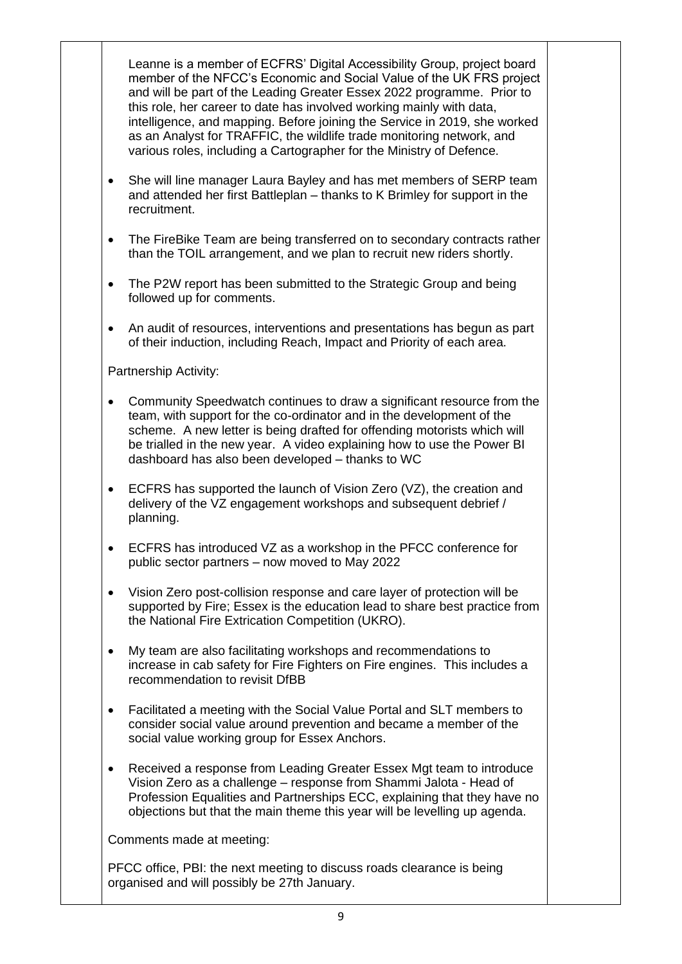|           | Leanne is a member of ECFRS' Digital Accessibility Group, project board<br>member of the NFCC's Economic and Social Value of the UK FRS project<br>and will be part of the Leading Greater Essex 2022 programme. Prior to<br>this role, her career to date has involved working mainly with data,<br>intelligence, and mapping. Before joining the Service in 2019, she worked<br>as an Analyst for TRAFFIC, the wildlife trade monitoring network, and<br>various roles, including a Cartographer for the Ministry of Defence. |  |
|-----------|---------------------------------------------------------------------------------------------------------------------------------------------------------------------------------------------------------------------------------------------------------------------------------------------------------------------------------------------------------------------------------------------------------------------------------------------------------------------------------------------------------------------------------|--|
| $\bullet$ | She will line manager Laura Bayley and has met members of SERP team<br>and attended her first Battleplan - thanks to K Brimley for support in the<br>recruitment.                                                                                                                                                                                                                                                                                                                                                               |  |
| $\bullet$ | The FireBike Team are being transferred on to secondary contracts rather<br>than the TOIL arrangement, and we plan to recruit new riders shortly.                                                                                                                                                                                                                                                                                                                                                                               |  |
| $\bullet$ | The P2W report has been submitted to the Strategic Group and being<br>followed up for comments.                                                                                                                                                                                                                                                                                                                                                                                                                                 |  |
| $\bullet$ | An audit of resources, interventions and presentations has begun as part<br>of their induction, including Reach, Impact and Priority of each area.                                                                                                                                                                                                                                                                                                                                                                              |  |
|           | Partnership Activity:                                                                                                                                                                                                                                                                                                                                                                                                                                                                                                           |  |
| $\bullet$ | Community Speedwatch continues to draw a significant resource from the<br>team, with support for the co-ordinator and in the development of the<br>scheme. A new letter is being drafted for offending motorists which will<br>be trialled in the new year. A video explaining how to use the Power BI<br>dashboard has also been developed - thanks to WC                                                                                                                                                                      |  |
| $\bullet$ | ECFRS has supported the launch of Vision Zero (VZ), the creation and<br>delivery of the VZ engagement workshops and subsequent debrief /<br>planning.                                                                                                                                                                                                                                                                                                                                                                           |  |
|           | ECFRS has introduced VZ as a workshop in the PFCC conference for<br>public sector partners - now moved to May 2022                                                                                                                                                                                                                                                                                                                                                                                                              |  |
| $\bullet$ | Vision Zero post-collision response and care layer of protection will be<br>supported by Fire; Essex is the education lead to share best practice from<br>the National Fire Extrication Competition (UKRO).                                                                                                                                                                                                                                                                                                                     |  |
| $\bullet$ | My team are also facilitating workshops and recommendations to<br>increase in cab safety for Fire Fighters on Fire engines. This includes a<br>recommendation to revisit DfBB                                                                                                                                                                                                                                                                                                                                                   |  |
| ٠         | Facilitated a meeting with the Social Value Portal and SLT members to<br>consider social value around prevention and became a member of the<br>social value working group for Essex Anchors.                                                                                                                                                                                                                                                                                                                                    |  |
| $\bullet$ | Received a response from Leading Greater Essex Mgt team to introduce<br>Vision Zero as a challenge - response from Shammi Jalota - Head of<br>Profession Equalities and Partnerships ECC, explaining that they have no<br>objections but that the main theme this year will be levelling up agenda.                                                                                                                                                                                                                             |  |
|           | Comments made at meeting:                                                                                                                                                                                                                                                                                                                                                                                                                                                                                                       |  |
|           | PFCC office, PBI: the next meeting to discuss roads clearance is being<br>organised and will possibly be 27th January.                                                                                                                                                                                                                                                                                                                                                                                                          |  |